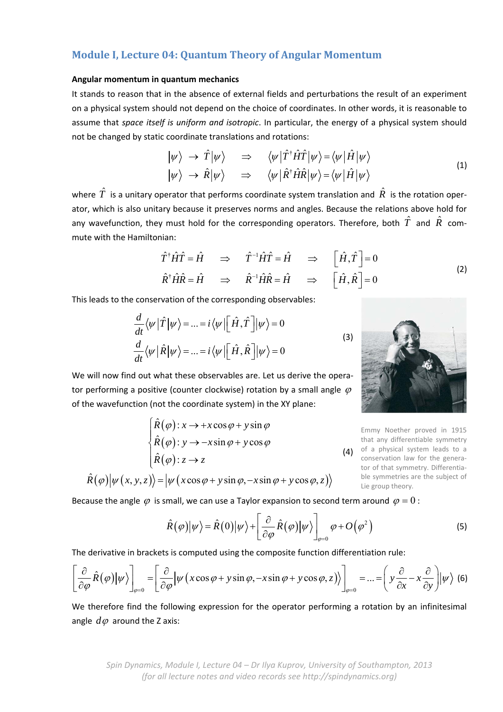## **Module I, Lecture 04: Quantum Theory of Angular Momentum**

## **Angular momentum in quantum mechanics**

It stands to reason that in the absence of external fields and perturbations the result of an experiment on a physical system should not depend on the choice of coordinates. In other words, it is reasonable to assume that *space itself is uniform and isotropic*. In particular, the energy of a physical system should not be changed by static coordinate translations and rotations:

$$
\begin{array}{rcl}\n|\psi\rangle & \rightarrow & \hat{T}|\psi\rangle & \Rightarrow & \langle\psi|\hat{T}^{\dagger}\hat{H}\hat{T}|\psi\rangle = \langle\psi|\hat{H}|\psi\rangle \\
|\psi\rangle & \rightarrow & \hat{R}|\psi\rangle & \Rightarrow & \langle\psi|\hat{R}^{\dagger}\hat{H}\hat{R}|\psi\rangle = \langle\psi|\hat{H}|\psi\rangle\n\end{array} \tag{1}
$$

where  $\hat{T}$  is a unitary operator that performs coordinate system translation and  $\hat{R}$  is the rotation operator, which is also unitary because it preserves norms and angles. Because the relations above hold for any wavefunction, they must hold for the corresponding operators. Therefore, both  $\hat{T}$  and  $\hat{R}$  commute with the Hamiltonian:

$$
\hat{T}^{\dagger} \hat{H} \hat{T} = \hat{H} \Rightarrow \hat{T}^{-1} \hat{H} \hat{T} = \hat{H} \Rightarrow [\hat{H}, \hat{T}] = 0
$$
  

$$
\hat{R}^{\dagger} \hat{H} \hat{R} = \hat{H} \Rightarrow \hat{R}^{-1} \hat{H} \hat{R} = \hat{H} \Rightarrow [\hat{H}, \hat{R}] = 0
$$
 (2)

(3)

This leads to the conservation of the corresponding observables:

$$
\frac{d}{dt}\langle \psi | \hat{T} | \psi \rangle = ... = i \langle \psi | [\hat{H}, \hat{T}] | \psi \rangle = 0
$$
  

$$
\frac{d}{dt}\langle \psi | \hat{R} | \psi \rangle = ... = i \langle \psi | [\hat{H}, \hat{R}] | \psi \rangle = 0
$$



We will now find out what these observables are. Let us derive the operator performing a positive (counter clockwise) rotation by a small angle  $\varphi$ of the wavefunction (not the coordinate system) in the XY plane:

$$
\begin{cases}\n\hat{R}(\varphi): x \to +x\cos\varphi + y\sin\varphi \\
\hat{R}(\varphi): y \to -x\sin\varphi + y\cos\varphi \\
\hat{R}(\varphi): z \to z\n\end{cases}
$$
\n(4)

 $\hat{R}(\varphi)|\psi(x, y, z)\rangle = |\psi(x\cos\varphi + y\sin\varphi, -x\sin\varphi + y\cos\varphi, z)\rangle$ 

(4) of a physical system leads to a Emmy Noether proved in 1915 that any differentiable symmetry conservation law for the generator of that symmetry. Differentiable symmetries are the subject of Lie group theory.

Because the angle  $\varphi$  is small, we can use a Taylor expansion to second term around  $\varphi = 0$ :

$$
\hat{R}(\varphi)|\psi\rangle = \hat{R}(0)|\psi\rangle + \left[\frac{\partial}{\partial \varphi}\hat{R}(\varphi)|\psi\rangle\right]_{\varphi=0}\varphi + O(\varphi^2)
$$
\n(5)

The derivative in brackets is computed using the composite function differentiation rule:

$$
\left[\frac{\partial}{\partial \varphi} \hat{R}(\varphi) \big| \psi \rangle \right]_{\varphi=0} = \left[\frac{\partial}{\partial \varphi} \big| \psi \left( x \cos \varphi + y \sin \varphi, -x \sin \varphi + y \cos \varphi, z \right) \rangle \right]_{\varphi=0} = \dots = \left( y \frac{\partial}{\partial x} - x \frac{\partial}{\partial y} \right) \big| \psi \rangle \tag{6}
$$

We therefore find the following expression for the operator performing a rotation by an infinitesimal angle  $d\varphi$  around the Z axis: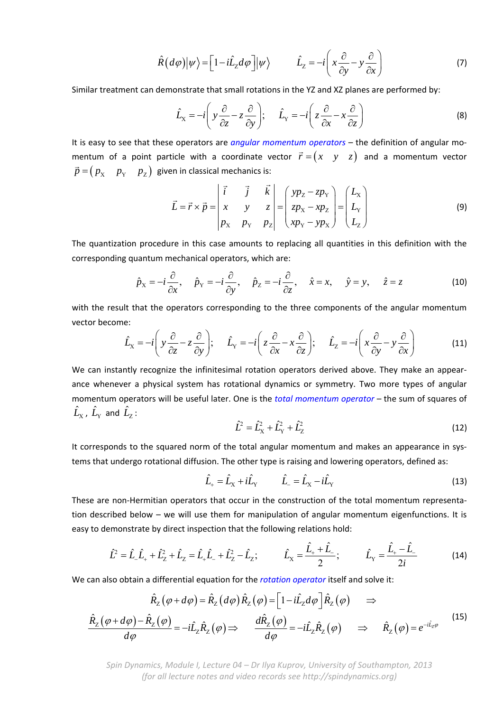$$
\hat{R}(d\varphi)|\psi\rangle = \left[1 - i\hat{L}_z d\varphi\right]|\psi\rangle \qquad \hat{L}_z = -i\left(x\frac{\partial}{\partial y} - y\frac{\partial}{\partial x}\right) \tag{7}
$$

Similar treatment can demonstrate that small rotations in the YZ and XZ planes are performed by:

$$
\hat{L}_X = -i \left( y \frac{\partial}{\partial z} - z \frac{\partial}{\partial y} \right); \quad \hat{L}_Y = -i \left( z \frac{\partial}{\partial x} - x \frac{\partial}{\partial z} \right)
$$
 (8)

It is easy to see that these operators are *angular momentum operators* – the definition of angular mo‐ mentum of a point particle with a coordinate vector  $\vec{r} = (x \ y \ z)$  and a momentum vector  $\vec{p} = (p_x \quad p_y \quad p_z)$  given in classical mechanics is:

$$
\vec{L} = \vec{r} \times \vec{p} = \begin{vmatrix} \vec{i} & \vec{j} & \vec{k} \\ x & y & z \\ p_x & p_y & p_z \end{vmatrix} = \begin{pmatrix} yp_z - zp_y \\ zp_x - xp_z \\ xp_y - yp_x \end{pmatrix} = \begin{pmatrix} L_x \\ L_y \\ L_z \end{pmatrix}
$$
(9)

The quantization procedure in this case amounts to replacing all quantities in this definition with the corresponding quantum mechanical operators, which are:

$$
\hat{p}_x = -i\frac{\partial}{\partial x}, \quad \hat{p}_y = -i\frac{\partial}{\partial y}, \quad \hat{p}_z = -i\frac{\partial}{\partial z}, \quad \hat{x} = x, \quad \hat{y} = y, \quad \hat{z} = z \tag{10}
$$

with the result that the operators corresponding to the three components of the angular momentum vector become:

$$
\hat{L}_x = -i\left(y\frac{\partial}{\partial z} - z\frac{\partial}{\partial y}\right); \quad \hat{L}_y = -i\left(z\frac{\partial}{\partial x} - x\frac{\partial}{\partial z}\right); \quad \hat{L}_z = -i\left(x\frac{\partial}{\partial y} - y\frac{\partial}{\partial x}\right)
$$
(11)

We can instantly recognize the infinitesimal rotation operators derived above. They make an appearance whenever a physical system has rotational dynamics or symmetry. Two more types of angular momentum operators will be useful later. One is the *total momentum operator* – the sum of squares of  $\hat{L}_{\rm x}$ ,  $\hat{L}_{\rm y}$  and  $\hat{L}_{\rm z}$ :

$$
\hat{L}^2 = \hat{L}_X^2 + \hat{L}_Y^2 + \hat{L}_Z^2
$$
 (12)

It corresponds to the squared norm of the total angular momentum and makes an appearance in systems that undergo rotational diffusion. The other type is raising and lowering operators, defined as:

$$
\hat{L}_{+} = \hat{L}_{X} + i\hat{L}_{Y} \qquad \hat{L}_{-} = \hat{L}_{X} - i\hat{L}_{Y}
$$
\n(13)

These are non-Hermitian operators that occur in the construction of the total momentum representation described below – we will use them for manipulation of angular momentum eigenfunctions. It is easy to demonstrate by direct inspection that the following relations hold:

$$
\hat{L}^2 = \hat{L}_{-}\hat{L}_{+} + \hat{L}_{Z}^2 + \hat{L}_{Z} = \hat{L}_{+}\hat{L}_{-} + \hat{L}_{Z}^2 - \hat{L}_{Z}; \qquad \hat{L}_{X} = \frac{\hat{L}_{+} + \hat{L}_{-}}{2}; \qquad \hat{L}_{Y} = \frac{\hat{L}_{+} - \hat{L}_{-}}{2i}
$$
(14)

We can also obtain a differential equation for the *rotation operator* itself and solve it:

$$
\hat{R}_{Z}(\varphi + d\varphi) = \hat{R}_{Z}(d\varphi)\,\hat{R}_{Z}(\varphi) = \left[1 - i\hat{L}_{Z}d\varphi\right]\hat{R}_{Z}(\varphi) \quad \Rightarrow
$$
\n
$$
\frac{\hat{R}_{Z}(\varphi + d\varphi) - \hat{R}_{Z}(\varphi)}{d\varphi} = -i\hat{L}_{Z}\hat{R}_{Z}(\varphi) \Rightarrow \quad \frac{d\hat{R}_{Z}(\varphi)}{d\varphi} = -i\hat{L}_{Z}\hat{R}_{Z}(\varphi) \quad \Rightarrow \quad \hat{R}_{Z}(\varphi) = e^{-i\hat{L}_{Z}\varphi}
$$
\n(15)

*Spin Dynamics, Module I, Lecture 04 – Dr Ilya Kuprov, University of Southampton, 2013 (for all lecture notes and video records see http://spindynamics.org)*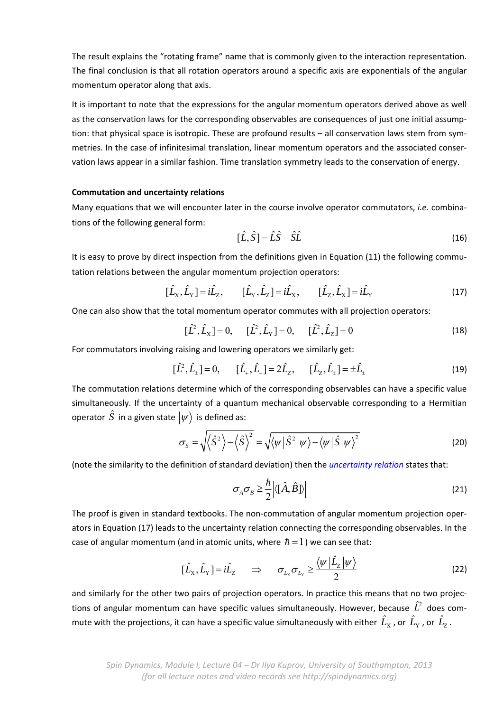The result explains the "rotating frame" name that is commonly given to the interaction representation. The final conclusion is that all rotation operators around a specific axis are exponentials of the angular momentum operator along that axis.

It is important to note that the expressions for the angular momentum operators derived above as well as the conservation laws for the corresponding observables are consequences of just one initial assumption: that physical space is isotropic. These are profound results – all conservation laws stem from symmetries. In the case of infinitesimal translation, linear momentum operators and the associated conser‐ vation laws appear in a similar fashion. Time translation symmetry leads to the conservation of energy.

## **Commutation and uncertainty relations**

Many equations that we will encounter later in the course involve operator commutators, *i.e.* combina‐ tions of the following general form:

$$
[\hat{L}, \hat{S}] = \hat{L}\hat{S} - \hat{S}\hat{L}
$$
 (16)

It is easy to prove by direct inspection from the definitions given in Equation (11) the following commutation relations between the angular momentum projection operators:

$$
[\hat{L}_X, \hat{L}_Y] = i\hat{L}_Z, \qquad [\hat{L}_Y, \hat{L}_Z] = i\hat{L}_X, \qquad [\hat{L}_Z, \hat{L}_X] = i\hat{L}_Y
$$
\n(17)

One can also show that the total momentum operator commutes with all projection operators:

$$
[\hat{L}^2, \hat{L}_X] = 0, \quad [\hat{L}^2, \hat{L}_Y] = 0, \quad [\hat{L}^2, \hat{L}_Z] = 0 \tag{18}
$$

For commutators involving raising and lowering operators we similarly get:

$$
[\hat{L}^2, \hat{L}_{\pm}] = 0, \qquad [\hat{L}_{+}, \hat{L}_{-}] = 2\hat{L}_{2}, \qquad [\hat{L}_{2}, \hat{L}_{\pm}] = \pm \hat{L}_{\pm}
$$
\n(19)

The commutation relations determine which of the corresponding observables can have a specific value simultaneously. If the uncertainty of a quantum mechanical observable corresponding to a Hermitian operator  $\hat{S}$  in a given state  $\ket{\psi}$  is defined as:

$$
\sigma_{s} = \sqrt{\langle \hat{S}^{2} \rangle - \langle \hat{S} \rangle^{2}} = \sqrt{\langle \psi | \hat{S}^{2} | \psi \rangle - \langle \psi | \hat{S} | \psi \rangle^{2}}
$$
(20)

(note the similarity to the definition of standard deviation) then the *uncertainty relation* states that:

$$
\sigma_A \sigma_B \ge \frac{\hbar}{2} \left| \langle [\hat{A}, \hat{B}] \rangle \right| \tag{21}
$$

The proof is given in standard textbooks. The non‐commutation of angular momentum projection oper‐ ators in Equation (17) leads to the uncertainty relation connecting the corresponding observables. In the case of angular momentum (and in atomic units, where  $\hbar = 1$ ) we can see that:

$$
[\hat{L}_X, \hat{L}_Y] = i\hat{L}_Z \qquad \Rightarrow \qquad \sigma_{L_X} \sigma_{L_Y} \ge \frac{\langle \psi | \hat{L}_Z | \psi \rangle}{2} \tag{22}
$$

and similarly for the other two pairs of projection operators. In practice this means that no two projec‐ tions of angular momentum can have specific values simultaneously. However, because  $\hat{L}^2$  does commute with the projections, it can have a specific value simultaneously with either  $\hat L_{\rm x}$  , or  $\hat L_{\rm y}$  , or  $\hat L_{\rm z}$  .